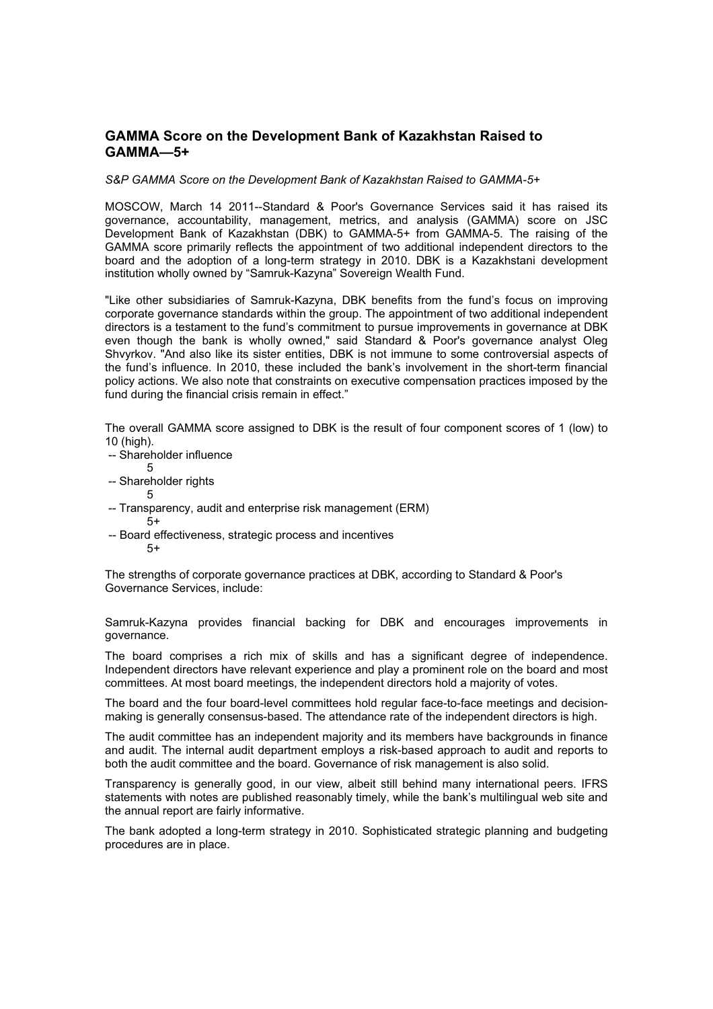# **GAMMA Score on the Development Bank of Kazakhstan Raised to GAMMA—5+**

*S&P GAMMA Score on the Development Bank of Kazakhstan Raised to GAMMA-5+* 

MOSCOW, March 14 2011--Standard & Poor's Governance Services said it has raised its governance, accountability, management, metrics, and analysis (GAMMA) score on JSC Development Bank of Kazakhstan (DBK) to GAMMA-5+ from GAMMA-5. The raising of the GAMMA score primarily reflects the appointment of two additional independent directors to the board and the adoption of a long-term strategy in 2010. DBK is a Kazakhstani development institution wholly owned by "Samruk-Kazyna" Sovereign Wealth Fund.

"Like other subsidiaries of Samruk-Kazyna, DBK benefits from the fund's focus on improving corporate governance standards within the group. The appointment of two additional independent directors is a testament to the fund's commitment to pursue improvements in governance at DBK even though the bank is wholly owned," said Standard & Poor's governance analyst Oleg Shvyrkov. "And also like its sister entities, DBK is not immune to some controversial aspects of the fund's influence. In 2010, these included the bank's involvement in the short-term financial policy actions. We also note that constraints on executive compensation practices imposed by the fund during the financial crisis remain in effect."

The overall GAMMA score assigned to DBK is the result of four component scores of 1 (low) to 10 (high).

- -- Shareholder influence 5
- -- Shareholder rights

5

- 
- -- Transparency, audit and enterprise risk management (ERM)  $5+$
- -- Board effectiveness, strategic process and incentives  $5+$

The strengths of corporate governance practices at DBK, according to Standard & Poor's Governance Services, include:

Samruk-Kazyna provides financial backing for DBK and encourages improvements in governance.

The board comprises a rich mix of skills and has a significant degree of independence. Independent directors have relevant experience and play a prominent role on the board and most committees. At most board meetings, the independent directors hold a majority of votes.

The board and the four board-level committees hold regular face-to-face meetings and decisionmaking is generally consensus-based. The attendance rate of the independent directors is high.

The audit committee has an independent majority and its members have backgrounds in finance and audit. The internal audit department employs a risk-based approach to audit and reports to both the audit committee and the board. Governance of risk management is also solid.

Transparency is generally good, in our view, albeit still behind many international peers. IFRS statements with notes are published reasonably timely, while the bank's multilingual web site and the annual report are fairly informative.

The bank adopted a long-term strategy in 2010. Sophisticated strategic planning and budgeting procedures are in place.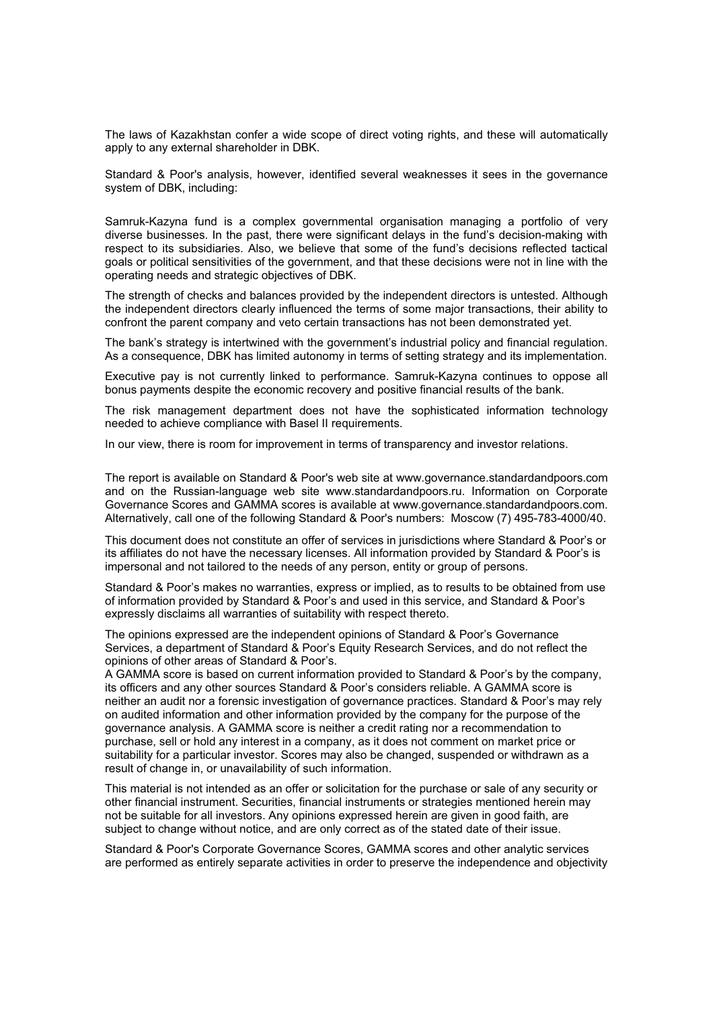The laws of Kazakhstan confer a wide scope of direct voting rights, and these will automatically apply to any external shareholder in DBK.

Standard & Poor's analysis, however, identified several weaknesses it sees in the governance system of DBK, including:

Samruk-Kazyna fund is a complex governmental organisation managing a portfolio of very diverse businesses. In the past, there were significant delays in the fund's decision-making with respect to its subsidiaries. Also, we believe that some of the fund's decisions reflected tactical goals or political sensitivities of the government, and that these decisions were not in line with the operating needs and strategic objectives of DBK.

The strength of checks and balances provided by the independent directors is untested. Although the independent directors clearly influenced the terms of some major transactions, their ability to confront the parent company and veto certain transactions has not been demonstrated yet.

The bank's strategy is intertwined with the government's industrial policy and financial regulation. As a consequence, DBK has limited autonomy in terms of setting strategy and its implementation.

Executive pay is not currently linked to performance. Samruk-Kazyna continues to oppose all bonus payments despite the economic recovery and positive financial results of the bank.

The risk management department does not have the sophisticated information technology needed to achieve compliance with Basel II requirements.

In our view, there is room for improvement in terms of transparency and investor relations.

The report is available on Standard & Poor's web site at www.governance.standardandpoors.com and on the Russian-language web site www.standardandpoors.ru. Information on Corporate Governance Scores and GAMMA scores is available at www.governance.standardandpoors.com. Alternatively, call one of the following Standard & Poor's numbers: Moscow (7) 495-783-4000/40.

This document does not constitute an offer of services in jurisdictions where Standard & Poor's or its affiliates do not have the necessary licenses. All information provided by Standard & Poor's is impersonal and not tailored to the needs of any person, entity or group of persons.

Standard & Poor's makes no warranties, express or implied, as to results to be obtained from use of information provided by Standard & Poor's and used in this service, and Standard & Poor's expressly disclaims all warranties of suitability with respect thereto.

The opinions expressed are the independent opinions of Standard & Poor's Governance Services, a department of Standard & Poor's Equity Research Services, and do not reflect the opinions of other areas of Standard & Poor's.

A GAMMA score is based on current information provided to Standard & Poor's by the company, its officers and any other sources Standard & Poor's considers reliable. A GAMMA score is neither an audit nor a forensic investigation of governance practices. Standard & Poor's may rely on audited information and other information provided by the company for the purpose of the governance analysis. A GAMMA score is neither a credit rating nor a recommendation to purchase, sell or hold any interest in a company, as it does not comment on market price or suitability for a particular investor. Scores may also be changed, suspended or withdrawn as a result of change in, or unavailability of such information.

This material is not intended as an offer or solicitation for the purchase or sale of any security or other financial instrument. Securities, financial instruments or strategies mentioned herein may not be suitable for all investors. Any opinions expressed herein are given in good faith, are subject to change without notice, and are only correct as of the stated date of their issue.

Standard & Poor's Corporate Governance Scores, GAMMA scores and other analytic services are performed as entirely separate activities in order to preserve the independence and objectivity